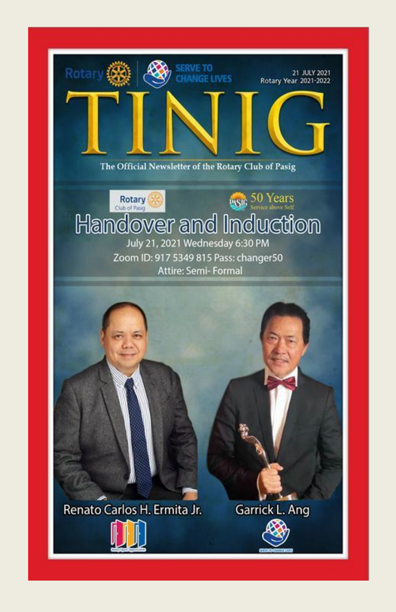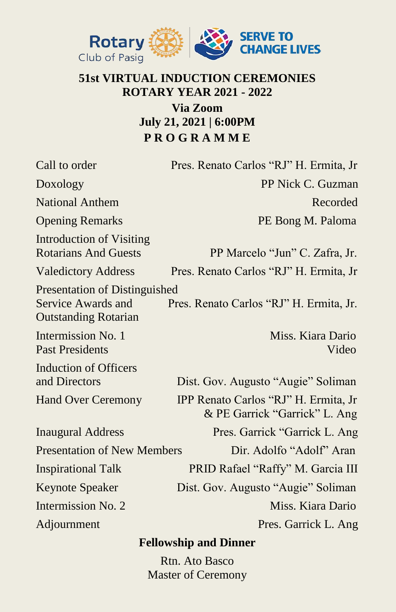

#### **51st VIRTUAL INDUCTION CEREMONIES ROTARY YEAR 2021 - 2022 Via Zoom July 21, 2021 | 6:00PM**

**P R O G R A M M E**

| Call to order                                                                                    | Pres. Renato Carlos "RJ" H. Ermita, Jr                                |
|--------------------------------------------------------------------------------------------------|-----------------------------------------------------------------------|
| Doxology                                                                                         | PP Nick C. Guzman                                                     |
| <b>National Anthem</b>                                                                           | Recorded                                                              |
| <b>Opening Remarks</b>                                                                           | PE Bong M. Paloma                                                     |
| <b>Introduction of Visiting</b><br><b>Rotarians And Guests</b>                                   | PP Marcelo "Jun" C. Zafra, Jr.                                        |
| <b>Valedictory Address</b>                                                                       | Pres. Renato Carlos "RJ" H. Ermita, Jr                                |
| <b>Presentation of Distinguished</b><br><b>Service Awards and</b><br><b>Outstanding Rotarian</b> | Pres. Renato Carlos "RJ" H. Ermita, Jr.                               |
| Intermission No. 1<br><b>Past Presidents</b>                                                     | Miss. Kiara Dario<br>Video                                            |
| Induction of Officers<br>and Directors                                                           | Dist. Gov. Augusto "Augie" Soliman                                    |
| <b>Hand Over Ceremony</b>                                                                        | IPP Renato Carlos "RJ" H. Ermita, Jr<br>& PE Garrick "Garrick" L. Ang |
| <b>Inaugural Address</b>                                                                         | Pres. Garrick "Garrick L. Ang                                         |
| <b>Presentation of New Members</b>                                                               | Dir. Adolfo "Adolf" Aran                                              |
| <b>Inspirational Talk</b>                                                                        | PRID Rafael "Raffy" M. Garcia III                                     |
| <b>Keynote Speaker</b>                                                                           | Dist. Gov. Augusto "Augie" Soliman                                    |
| Intermission No. 2                                                                               | Miss. Kiara Dario                                                     |
| Adjournment                                                                                      | Pres. Garrick L. Ang                                                  |
| <b>Fellowship and Dinner</b>                                                                     |                                                                       |

Rtn. Ato Basco Master of Ceremony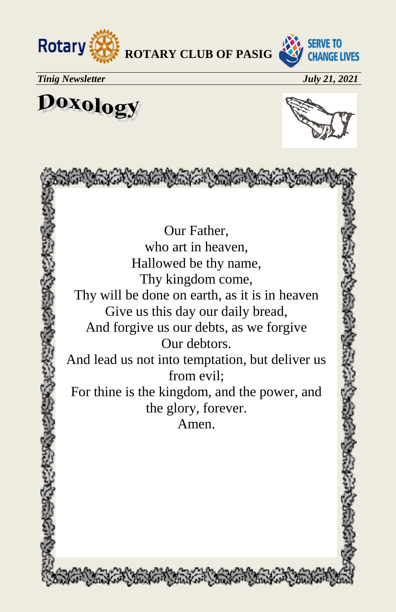



*Tinig Newsletter July 21, 2021*

Doxology



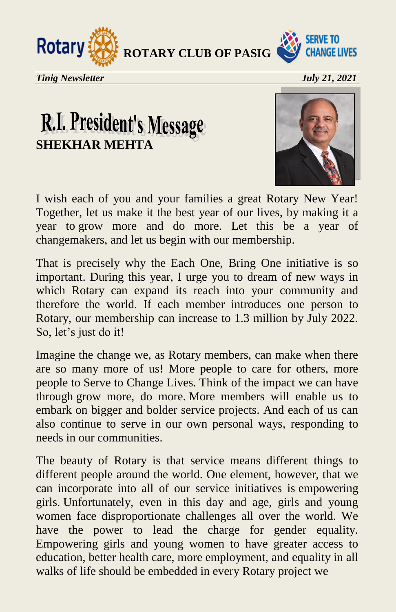



*Tinig Newsletter July 21, 2021*

## R.I. President's Message **SHEKHAR MEHTA**



I wish each of you and your families a great Rotary New Year! Together, let us make it the best year of our lives, by making it a year to grow more and do more. Let this be a year of changemakers, and let us begin with our membership.

That is precisely why the Each One, Bring One initiative is so important. During this year, I urge you to dream of new ways in which Rotary can expand its reach into your community and therefore the world. If each member introduces one person to Rotary, our membership can increase to 1.3 million by July 2022. So, let's just do it!

Imagine the change we, as Rotary members, can make when there are so many more of us! More people to care for others, more people to Serve to Change Lives. Think of the impact we can have through grow more, do more. More members will enable us to embark on bigger and bolder service projects. And each of us can also continue to serve in our own personal ways, responding to needs in our communities.

The beauty of Rotary is that service means different things to different people around the world. One element, however, that we can incorporate into all of our service initiatives is empowering girls. Unfortunately, even in this day and age, girls and young women face disproportionate challenges all over the world. We have the power to lead the charge for gender equality. Empowering girls and young women to have greater access to education, better health care, more employment, and equality in all walks of life should be embedded in every Rotary project we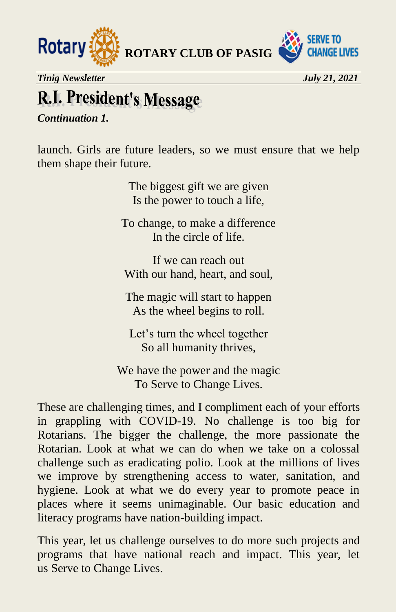

## **R.I. President's Message**

*Continuation 1.*

launch. Girls are future leaders, so we must ensure that we help them shape their future.

> The biggest gift we are given Is the power to touch a life,

To change, to make a difference In the circle of life.

If we can reach out With our hand, heart, and soul,

The magic will start to happen As the wheel begins to roll.

Let's turn the wheel together So all humanity thrives,

We have the power and the magic To Serve to Change Lives.

These are challenging times, and I compliment each of your efforts in grappling with COVID-19. No challenge is too big for Rotarians. The bigger the challenge, the more passionate the Rotarian. Look at what we can do when we take on a colossal challenge such as eradicating polio. Look at the millions of lives we improve by strengthening access to water, sanitation, and hygiene. Look at what we do every year to promote peace in places where it seems unimaginable. Our basic education and literacy programs have nation-building impact.

This year, let us challenge ourselves to do more such projects and programs that have national reach and impact. This year, let us Serve to Change Lives.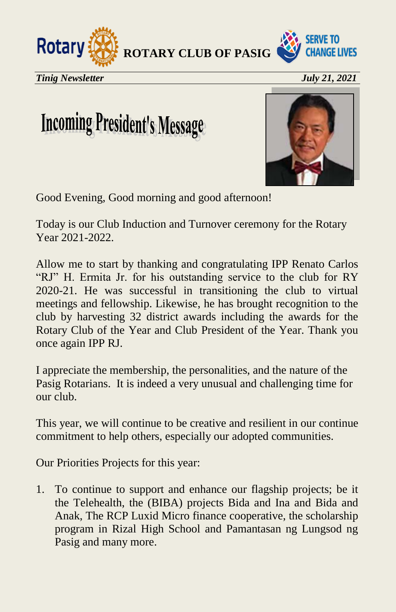



*Tinig Newsletter July 21, 2021*

## **Incoming President's Message**



Good Evening, Good morning and good afternoon!

Today is our Club Induction and Turnover ceremony for the Rotary Year 2021-2022.

Allow me to start by thanking and congratulating IPP Renato Carlos "RJ" H. Ermita Jr. for his outstanding service to the club for RY 2020-21. He was successful in transitioning the club to virtual meetings and fellowship. Likewise, he has brought recognition to the club by harvesting 32 district awards including the awards for the Rotary Club of the Year and Club President of the Year. Thank you once again IPP RJ.

I appreciate the membership, the personalities, and the nature of the Pasig Rotarians. It is indeed a very unusual and challenging time for our club.

This year, we will continue to be creative and resilient in our continue commitment to help others, especially our adopted communities.

Our Priorities Projects for this year:

1. To continue to support and enhance our flagship projects; be it the Telehealth, the (BIBA) projects Bida and Ina and Bida and Anak, The RCP Luxid Micro finance cooperative, the scholarship program in Rizal High School and Pamantasan ng Lungsod ng Pasig and many more.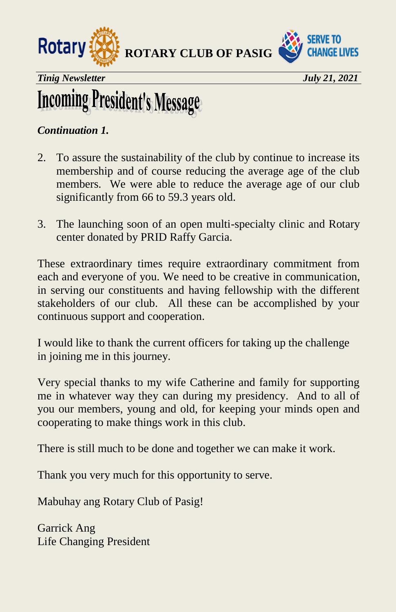



*Tinig Newsletter July 21, 2021* 

## **Incoming President's Message**

#### *Continuation 1.*

- 2. To assure the sustainability of the club by continue to increase its membership and of course reducing the average age of the club members. We were able to reduce the average age of our club significantly from 66 to 59.3 years old.
- 3. The launching soon of an open multi-specialty clinic and Rotary center donated by PRID Raffy Garcia.

These extraordinary times require extraordinary commitment from each and everyone of you. We need to be creative in communication, in serving our constituents and having fellowship with the different stakeholders of our club. All these can be accomplished by your continuous support and cooperation.

I would like to thank the current officers for taking up the challenge in joining me in this journey.

Very special thanks to my wife Catherine and family for supporting me in whatever way they can during my presidency. And to all of you our members, young and old, for keeping your minds open and cooperating to make things work in this club.

There is still much to be done and together we can make it work.

Thank you very much for this opportunity to serve.

Mabuhay ang Rotary Club of Pasig!

Garrick Ang Life Changing President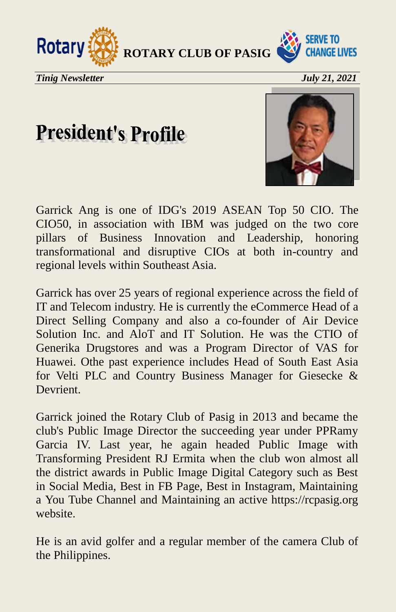



**President's Profile** 

Garrick Ang is one of IDG's 2019 ASEAN Top 50 CIO. The CIO50, in association with IBM was judged on the two core pillars of Business Innovation and Leadership, honoring transformational and disruptive CIOs at both in-country and regional levels within Southeast Asia.

Garrick has over 25 years of regional experience across the field of IT and Telecom industry. He is currently the eCommerce Head of a Direct Selling Company and also a co-founder of Air Device Solution Inc. and AloT and IT Solution. He was the CTIO of Generika Drugstores and was a Program Director of VAS for Huawei. Othe past experience includes Head of South East Asia for Velti PLC and Country Business Manager for Giesecke & Devrient.

Garrick joined the Rotary Club of Pasig in 2013 and became the club's Public Image Director the succeeding year under PPRamy Garcia IV. Last year, he again headed Public Image with Transforming President RJ Ermita when the club won almost all the district awards in Public Image Digital Category such as Best in Social Media, Best in FB Page, Best in Instagram, Maintaining a You Tube Channel and Maintaining an active https://rcpasig.org website.

He is an avid golfer and a regular member of the camera Club of the Philippines.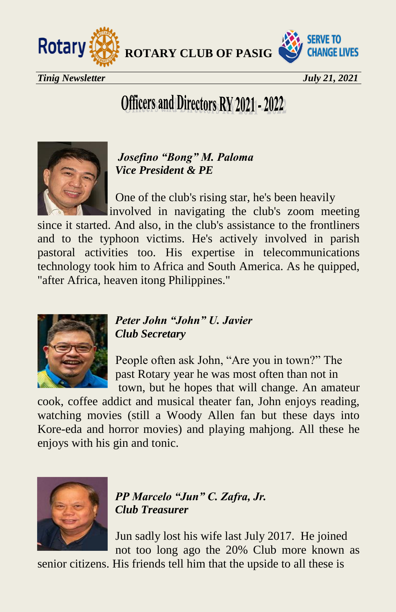



## **Officers and Directors RY 2021 - 2022**



 *Josefino "Bong" M. Paloma Vice President & PE* 

 One of the club's rising star, he's been heavily involved in navigating the club's zoom meeting

since it started. And also, in the club's assistance to the frontliners and to the typhoon victims. He's actively involved in parish pastoral activities too. His expertise in telecommunications technology took him to Africa and South America. As he quipped, "after Africa, heaven itong Philippines."



#### *Peter John "John" U. Javier Club Secretary*

 People often ask John, "Are you in town?" The past Rotary year he was most often than not in town, but he hopes that will change. An amateur

cook, coffee addict and musical theater fan, John enjoys reading, watching movies (still a Woody Allen fan but these days into Kore-eda and horror movies) and playing mahjong. All these he enjoys with his gin and tonic.



 *PP Marcelo "Jun" C. Zafra, Jr. Club Treasurer* 

 Jun sadly lost his wife last July 2017. He joined not too long ago the 20% Club more known as

senior citizens. His friends tell him that the upside to all these is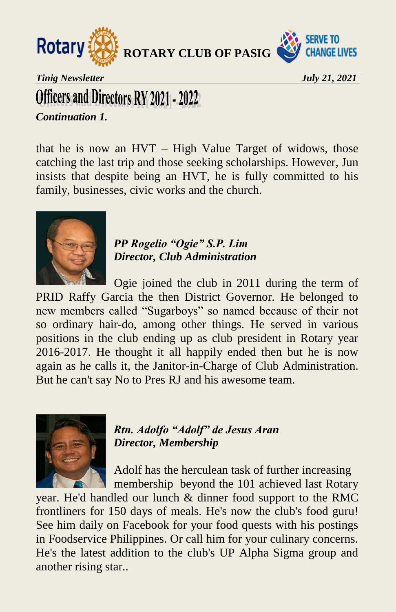



*Tinig Newsletter July 21, 2021* 

### **Officers and Directors RY 2021 - 2022**

#### *Continuation 1.*

that he is now an HVT – High Value Target of widows, those catching the last trip and those seeking scholarships. However, Jun insists that despite being an HVT, he is fully committed to his family, businesses, civic works and the church.



 *PP Rogelio "Ogie" S.P. Lim Director, Club Administration* 

 Ogie joined the club in 2011 during the term of PRID Raffy Garcia the then District Governor. He belonged to new members called "Sugarboys" so named because of their not so ordinary hair-do, among other things. He served in various positions in the club ending up as club president in Rotary year 2016-2017. He thought it all happily ended then but he is now again as he calls it, the Janitor-in-Charge of Club Administration. But he can't say No to Pres RJ and his awesome team.



 *Rtn. Adolfo "Adolf" de Jesus Aran Director, Membership* 

 Adolf has the herculean task of further increasing membership beyond the 101 achieved last Rotary

year. He'd handled our lunch & dinner food support to the RMC frontliners for 150 days of meals. He's now the club's food guru! See him daily on Facebook for your food quests with his postings in Foodservice Philippines. Or call him for your culinary concerns. He's the latest addition to the club's UP Alpha Sigma group and another rising star..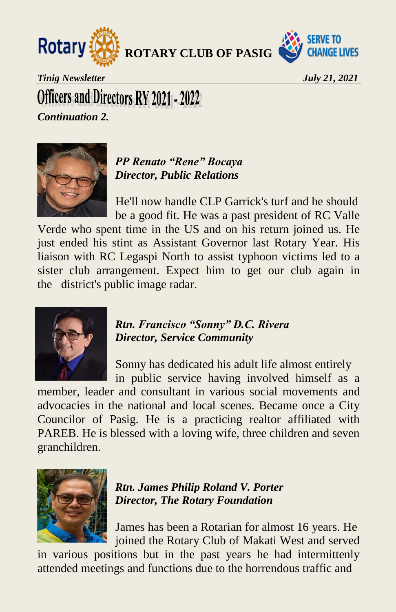

**SERVE TO CHANGE LIVES** 

*Tinig Newsletter July 21, 2021* 

### Officers and Directors RY 2021 - 2022

*Continuation 2.* 



#### *PP Renato "Rene" Bocaya Director, Public Relations*

 He'll now handle CLP Garrick's turf and he should be a good fit. He was a past president of RC Valle

Verde who spent time in the US and on his return joined us. He just ended his stint as Assistant Governor last Rotary Year. His liaison with RC Legaspi North to assist typhoon victims led to a sister club arrangement. Expect him to get our club again in the district's public image radar.



#### *Rtn. Francisco "Sonny" D.C. Rivera Director, Service Community*

 Sonny has dedicated his adult life almost entirely in public service having involved himself as a

member, leader and consultant in various social movements and advocacies in the national and local scenes. Became once a City Councilor of Pasig. He is a practicing realtor affiliated with PAREB. He is blessed with a loving wife, three children and seven granchildren.



 *Rtn. James Philip Roland V. Porter Director, The Rotary Foundation*

 James has been a Rotarian for almost 16 years. He joined the Rotary Club of Makati West and served

in various positions but in the past years he had intermittenly attended meetings and functions due to the horrendous traffic and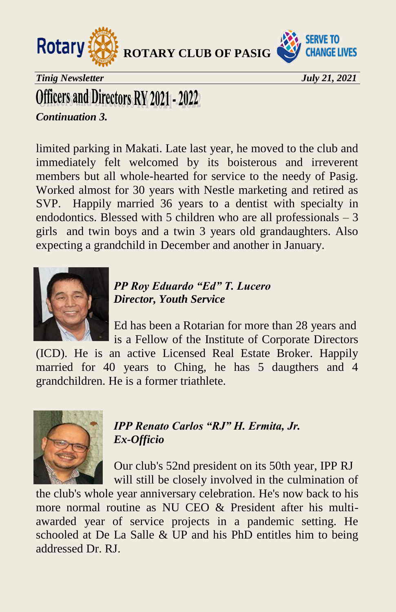



*Tinig Newsletter July 21, 2021* 

### Officers and Directors RY 2021 - 2022

*Continuation 3.* 

limited parking in Makati. Late last year, he moved to the club and immediately felt welcomed by its boisterous and irreverent members but all whole-hearted for service to the needy of Pasig. Worked almost for 30 years with Nestle marketing and retired as SVP. Happily married 36 years to a dentist with specialty in endodontics. Blessed with 5 children who are all professionals  $-3$ girls and twin boys and a twin 3 years old grandaughters. Also expecting a grandchild in December and another in January.



 *PP Roy Eduardo "Ed" T. Lucero Director, Youth Service* 

 Ed has been a Rotarian for more than 28 years and is a Fellow of the Institute of Corporate Directors

(ICD). He is an active Licensed Real Estate Broker. Happily married for 40 years to Ching, he has 5 daugthers and 4 grandchildren. He is a former triathlete.



 *IPP Renato Carlos "RJ" H. Ermita, Jr. Ex-Officio* 

 Our club's 52nd president on its 50th year, IPP RJ will still be closely involved in the culmination of

the club's whole year anniversary celebration. He's now back to his more normal routine as NU CEO & President after his multiawarded year of service projects in a pandemic setting. He schooled at De La Salle & UP and his PhD entitles him to being addressed Dr. RJ.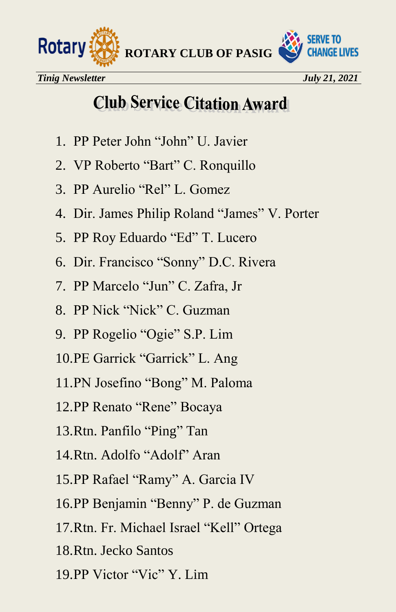

### **Club Service Citation Award**

- 1. PP Peter John "John" U. Javier
- 2. VP Roberto "Bart" C. Ronquillo
- 3. PP Aurelio "Rel" L. Gomez
- 4. Dir. James Philip Roland "James" V. Porter
- 5. PP Roy Eduardo "Ed" T. Lucero
- 6. Dir. Francisco "Sonny" D.C. Rivera
- 7. PP Marcelo "Jun" C. Zafra, Jr
- 8. PP Nick "Nick" C. Guzman
- 9. PP Rogelio "Ogie" S.P. Lim
- 10.PE Garrick "Garrick" L. Ang
- 11.PN Josefino "Bong" M. Paloma
- 12.PP Renato "Rene" Bocaya
- 13.Rtn. Panfilo "Ping" Tan
- 14.Rtn. Adolfo "Adolf" Aran
- 15.PP Rafael "Ramy" A. Garcia IV
- 16.PP Benjamin "Benny" P. de Guzman
- 17.Rtn. Fr. Michael Israel "Kell" Ortega
- 18.Rtn. Jecko Santos
- 19.PP Victor "Vic" Y. Lim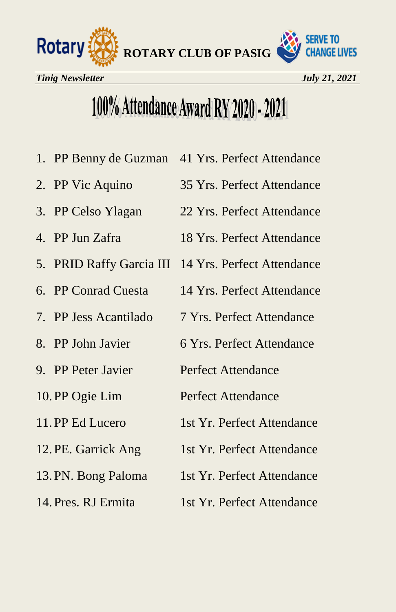

## 100% Attendance Award RY 2020 - 2021

- 1. PP Benny de Guzman 41 Yrs. Perfect Attendance
- 
- 
- 
- 
- 
- 
- 
- 
- 
- 
- 
- 
- 
- 2. PP Vic Aquino 35 Yrs. Perfect Attendance
- 3. PP Celso Ylagan 22 Yrs. Perfect Attendance
- 4. PP Jun Zafra 18 Yrs. Perfect Attendance
- 5. PRID Raffy Garcia III 14 Yrs. Perfect Attendance
- 6. PP Conrad Cuesta 14 Yrs. Perfect Attendance
- 7. PP Jess Acantilado 7 Yrs. Perfect Attendance
- 8. PP John Javier 6 Yrs. Perfect Attendance
- 9. PP Peter Javier Perfect Attendance
- 10. PP Ogie Lim Perfect Attendance
- 11. PP Ed Lucero 1st Yr. Perfect Attendance
- 12. PE. Garrick Ang 1st Yr. Perfect Attendance
- 13. PN. Bong Paloma 1st Yr. Perfect Attendance
- 14. Pres. RJ Ermita 1st Yr. Perfect Attendance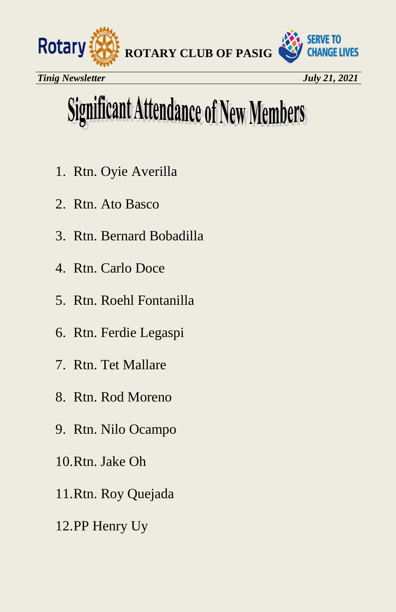

# **Significant Attendance of New Members**

- 1. Rtn. Oyie Averilla
- 2. Rtn. Ato Basco
- 3. Rtn. Bernard Bobadilla
- 4. Rtn. Carlo Doce
- 5. Rtn. Roehl Fontanilla
- 6. Rtn. Ferdie Legaspi
- 7. Rtn. Tet Mallare
- 8. Rtn. Rod Moreno
- 9. Rtn. Nilo Ocampo
- 10.Rtn. Jake Oh
- 11.Rtn. Roy Quejada
- 12.PP Henry Uy